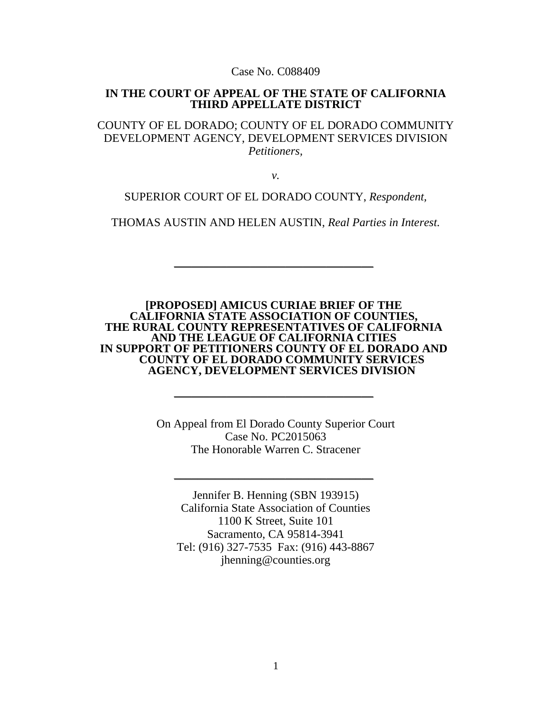Case No. C088409

#### **IN THE COURT OF APPEAL OF THE STATE OF CALIFORNIA THIRD APPELLATE DISTRICT**

COUNTY OF EL DORADO; COUNTY OF EL DORADO COMMUNITY DEVELOPMENT AGENCY, DEVELOPMENT SERVICES DIVISION *Petitioners,*

*v.*

SUPERIOR COURT OF EL DORADO COUNTY, *Respondent,*

THOMAS AUSTIN AND HELEN AUSTIN, *Real Parties in Interest.*

 $\sim$  . The contribution of the contribution of the contribution of the contribution of the contribution of the contribution of the contribution of the contribution of the contribution of the contribution of the contributi

**[PROPOSED] AMICUS CURIAE BRIEF OF THE**  THE RURAL COUNTY REPRESENTATIVES OF CALIFORNIA **AND THE LEAGUE OF CALIFORNIA CITIES IN SUPPORT OF PETITIONERS COUNTY OF EL DORADO AND COUNTY OF EL DORADO COMMUNITY SERVICES AGENCY, DEVELOPMENT SERVICES DIVISION**

 $\sim$  . The contribution of the contribution of the contribution of the contribution of the contribution of the contribution of the contribution of the contribution of the contribution of the contribution of the contributi

On Appeal from El Dorado County Superior Court Case No. PC2015063 The Honorable Warren C. Stracener

 $\sim$  . The contribution of the contribution of the contribution of the contribution of the contribution of the contribution of the contribution of the contribution of the contribution of the contribution of the contributi

Jennifer B. Henning (SBN 193915) California State Association of Counties 1100 K Street, Suite 101 Sacramento, CA 95814-3941 Tel: (916) 327-7535 Fax: (916) 443-8867 jhenning@counties.org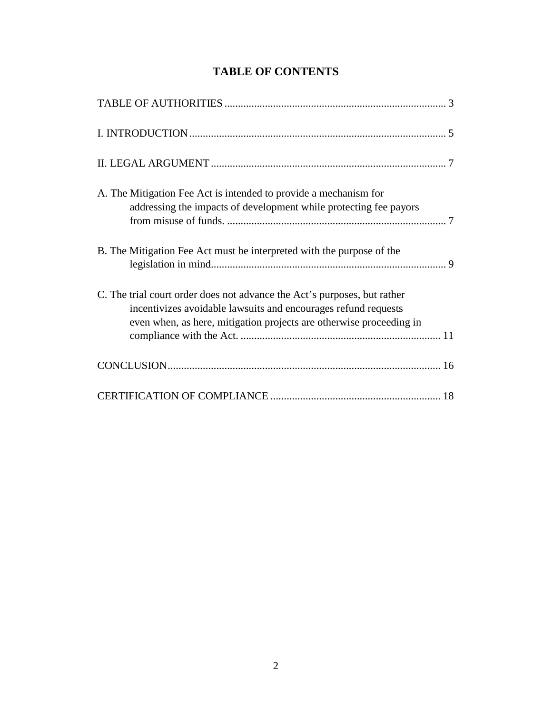# **TABLE OF CONTENTS**

| A. The Mitigation Fee Act is intended to provide a mechanism for         |
|--------------------------------------------------------------------------|
| addressing the impacts of development while protecting fee payors        |
|                                                                          |
| B. The Mitigation Fee Act must be interpreted with the purpose of the    |
|                                                                          |
| C. The trial court order does not advance the Act's purposes, but rather |
| incentivizes avoidable lawsuits and encourages refund requests           |
| even when, as here, mitigation projects are otherwise proceeding in      |
|                                                                          |
|                                                                          |
|                                                                          |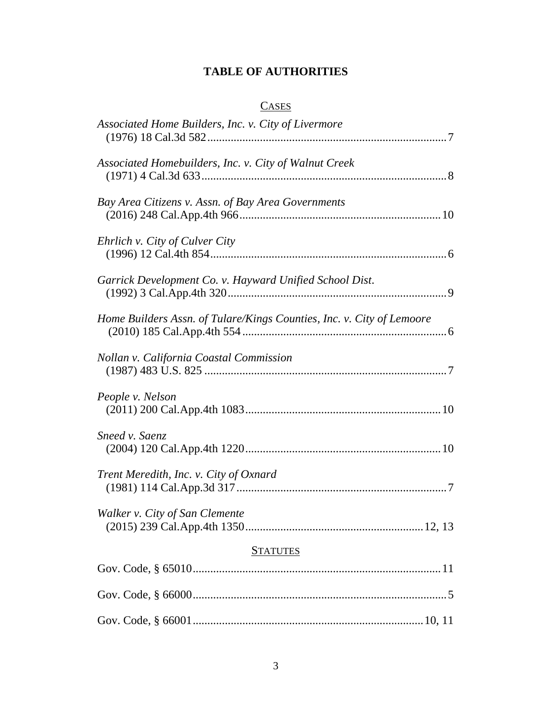## **TABLE OF AUTHORITIES**

# **CASES**

| Associated Home Builders, Inc. v. City of Livermore                   |
|-----------------------------------------------------------------------|
| Associated Homebuilders, Inc. v. City of Walnut Creek                 |
| Bay Area Citizens v. Assn. of Bay Area Governments                    |
| Ehrlich v. City of Culver City                                        |
| Garrick Development Co. v. Hayward Unified School Dist.               |
| Home Builders Assn. of Tulare/Kings Counties, Inc. v. City of Lemoore |
| Nollan v. California Coastal Commission                               |
| People v. Nelson                                                      |
| Sneed v. Saenz                                                        |
| Trent Meredith, Inc. v. City of Oxnard                                |
| Walker v. City of San Clemente                                        |
| <b>STATUTES</b>                                                       |
|                                                                       |
|                                                                       |
|                                                                       |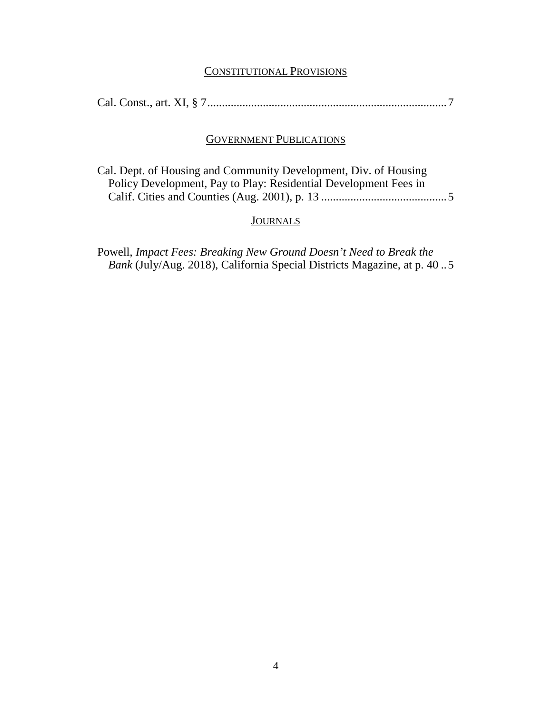#### CONSTITUTIONAL PROVISIONS

|--|--|--|--|--|--|

### GOVERNMENT PUBLICATIONS

Cal. Dept. of Housing and Community Development, Div. of Housing Policy Development, Pay to Play: Residential Development Fees in Calif. Cities and Counties (Aug. 2001), p. 13 ...........................................5

#### **JOURNALS**

Powell, *Impact Fees: Breaking New Ground Doesn't Need to Break the Bank* (July/Aug. 2018), California Special Districts Magazine, at p. 40 ..5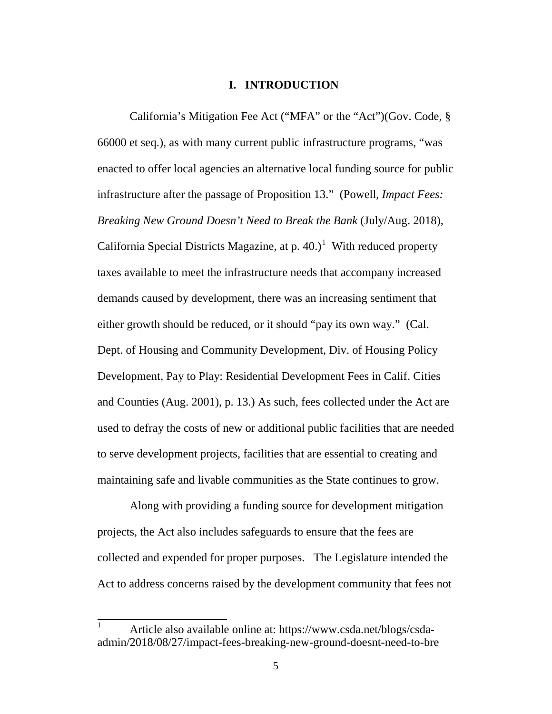#### **I. INTRODUCTION**

California's Mitigation Fee Act ("MFA" or the "Act")(Gov. Code, § 66000 et seq.), as with many current public infrastructure programs, "was enacted to offer local agencies an alternative local funding source for public infrastructure after the passage of Proposition 13." (Powell, *Impact Fees: Breaking New Ground Doesn't Need to Break the Bank* (July/Aug. 2018), California Special Districts Magazine, at p.  $40.)<sup>1</sup>$  $40.)<sup>1</sup>$  $40.)<sup>1</sup>$  With reduced property taxes available to meet the infrastructure needs that accompany increased demands caused by development, there was an increasing sentiment that either growth should be reduced, or it should "pay its own way." (Cal. Dept. of Housing and Community Development, Div. of Housing Policy Development, Pay to Play: Residential Development Fees in Calif. Cities and Counties (Aug. 2001), p. 13.) As such, fees collected under the Act are used to defray the costs of new or additional public facilities that are needed to serve development projects, facilities that are essential to creating and maintaining safe and livable communities as the State continues to grow.

Along with providing a funding source for development mitigation projects, the Act also includes safeguards to ensure that the fees are collected and expended for proper purposes. The Legislature intended the Act to address concerns raised by the development community that fees not

<span id="page-4-0"></span><sup>&</sup>lt;sup>1</sup> Article also available online at: https://www.csda.net/blogs/csdaadmin/2018/08/27/impact-fees-breaking-new-ground-doesnt-need-to-bre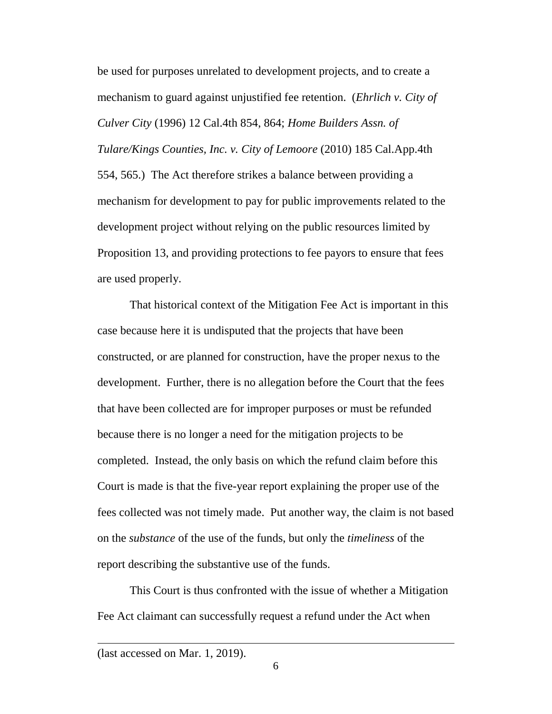be used for purposes unrelated to development projects, and to create a mechanism to guard against unjustified fee retention. (*Ehrlich v. City of Culver City* (1996) 12 Cal.4th 854, 864; *Home Builders Assn. of Tulare/Kings Counties, Inc. v. City of Lemoore* (2010) 185 Cal.App.4th 554, 565.) The Act therefore strikes a balance between providing a mechanism for development to pay for public improvements related to the development project without relying on the public resources limited by Proposition 13, and providing protections to fee payors to ensure that fees are used properly.

That historical context of the Mitigation Fee Act is important in this case because here it is undisputed that the projects that have been constructed, or are planned for construction, have the proper nexus to the development. Further, there is no allegation before the Court that the fees that have been collected are for improper purposes or must be refunded because there is no longer a need for the mitigation projects to be completed. Instead, the only basis on which the refund claim before this Court is made is that the five-year report explaining the proper use of the fees collected was not timely made. Put another way, the claim is not based on the *substance* of the use of the funds, but only the *timeliness* of the report describing the substantive use of the funds.

This Court is thus confronted with the issue of whether a Mitigation Fee Act claimant can successfully request a refund under the Act when

 $\overline{a}$ 

<sup>(</sup>last accessed on Mar. 1, 2019).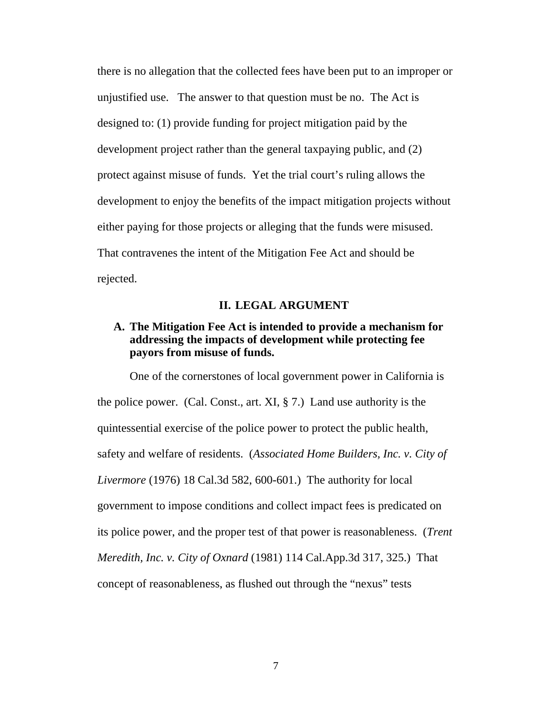there is no allegation that the collected fees have been put to an improper or unjustified use. The answer to that question must be no. The Act is designed to: (1) provide funding for project mitigation paid by the development project rather than the general taxpaying public, and (2) protect against misuse of funds. Yet the trial court's ruling allows the development to enjoy the benefits of the impact mitigation projects without either paying for those projects or alleging that the funds were misused. That contravenes the intent of the Mitigation Fee Act and should be rejected.

### **II. LEGAL ARGUMENT**

## **A. The Mitigation Fee Act is intended to provide a mechanism for addressing the impacts of development while protecting fee payors from misuse of funds.**

One of the cornerstones of local government power in California is the police power. (Cal. Const., art. XI,  $\S$  7.) Land use authority is the quintessential exercise of the police power to protect the public health, safety and welfare of residents. (*Associated Home Builders, Inc. v. City of Livermore* (1976) 18 Cal.3d 582, 600-601.) The authority for local government to impose conditions and collect impact fees is predicated on its police power, and the proper test of that power is reasonableness. (*Trent Meredith, Inc. v. City of Oxnard* (1981) 114 Cal.App.3d 317, 325.) That concept of reasonableness, as flushed out through the "nexus" tests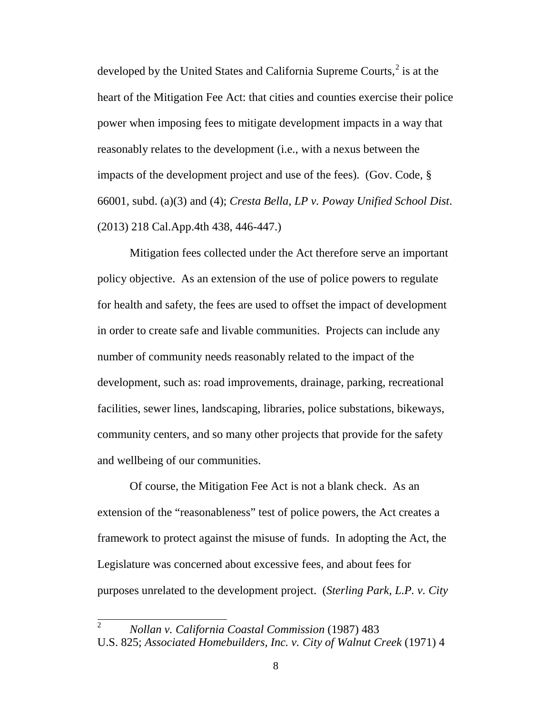developed by the United States and California Supreme Courts,<sup>[2](#page-7-0)</sup> is at the heart of the Mitigation Fee Act: that cities and counties exercise their police power when imposing fees to mitigate development impacts in a way that reasonably relates to the development (i.e., with a nexus between the impacts of the development project and use of the fees). (Gov. Code, § 66001, subd. (a)(3) and (4); *Cresta Bella, LP v. Poway Unified School Dist*. (2013) 218 Cal.App.4th 438, 446-447.)

Mitigation fees collected under the Act therefore serve an important policy objective. As an extension of the use of police powers to regulate for health and safety, the fees are used to offset the impact of development in order to create safe and livable communities. Projects can include any number of community needs reasonably related to the impact of the development, such as: road improvements, drainage, parking, recreational facilities, sewer lines, landscaping, libraries, police substations, bikeways, community centers, and so many other projects that provide for the safety and wellbeing of our communities.

Of course, the Mitigation Fee Act is not a blank check. As an extension of the "reasonableness" test of police powers, the Act creates a framework to protect against the misuse of funds. In adopting the Act, the Legislature was concerned about excessive fees, and about fees for purposes unrelated to the development project. (*Sterling Park, L.P. v. City* 

<span id="page-7-0"></span> <sup>2</sup> *Nollan v. California Coastal Commission* (1987) 483 U.S. 825; *Associated Homebuilders, Inc. v. City of Walnut Creek* (1971) 4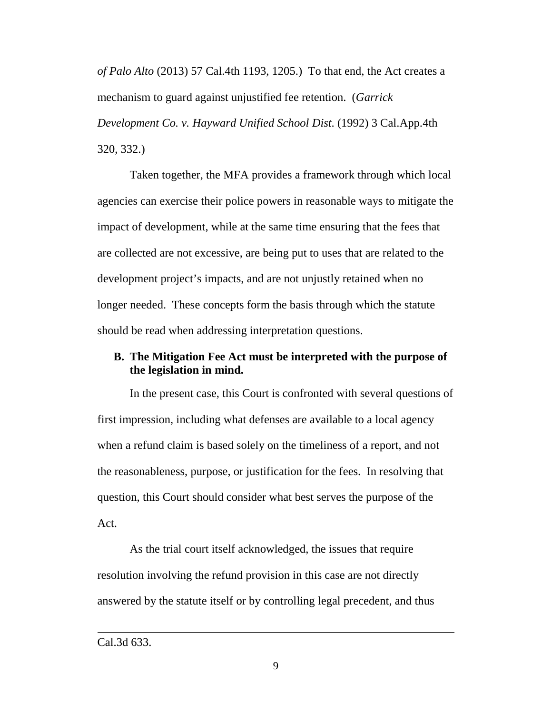*of Palo Alto* (2013) 57 Cal.4th 1193, 1205.) To that end, the Act creates a mechanism to guard against unjustified fee retention. (*Garrick Development Co. v. Hayward Unified School Dist*. (1992) 3 Cal.App.4th 320, 332.)

Taken together, the MFA provides a framework through which local agencies can exercise their police powers in reasonable ways to mitigate the impact of development, while at the same time ensuring that the fees that are collected are not excessive, are being put to uses that are related to the development project's impacts, and are not unjustly retained when no longer needed. These concepts form the basis through which the statute should be read when addressing interpretation questions.

## **B. The Mitigation Fee Act must be interpreted with the purpose of the legislation in mind.**

In the present case, this Court is confronted with several questions of first impression, including what defenses are available to a local agency when a refund claim is based solely on the timeliness of a report, and not the reasonableness, purpose, or justification for the fees. In resolving that question, this Court should consider what best serves the purpose of the Act.

As the trial court itself acknowledged, the issues that require resolution involving the refund provision in this case are not directly answered by the statute itself or by controlling legal precedent, and thus

 $\overline{a}$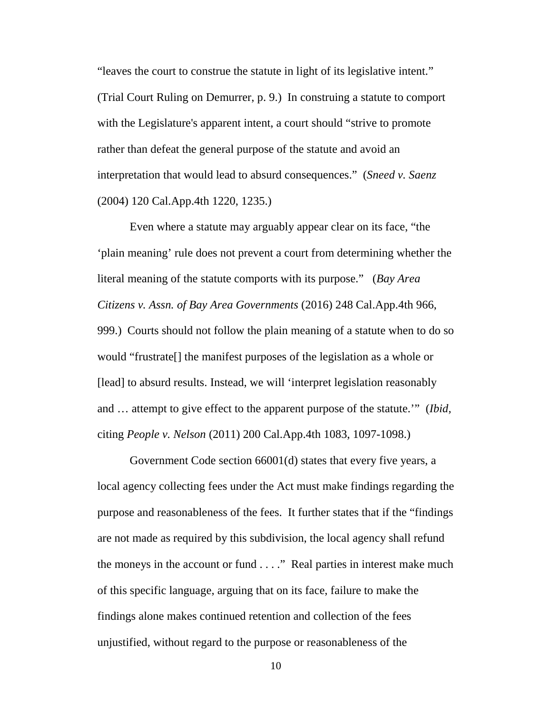"leaves the court to construe the statute in light of its legislative intent." (Trial Court Ruling on Demurrer, p. 9.) In construing a statute to comport with the Legislature's apparent intent, a court should "strive to promote rather than defeat the general purpose of the statute and avoid an interpretation that would lead to absurd consequences." (*Sneed v. Saenz* (2004) 120 Cal.App.4th 1220, 1235.)

Even where a statute may arguably appear clear on its face, "the 'plain meaning' rule does not prevent a court from determining whether the literal meaning of the statute comports with its purpose." (*Bay Area Citizens v. Assn. of Bay Area Governments* (2016) 248 Cal.App.4th 966, 999.) Courts should not follow the plain meaning of a statute when to do so would "frustrate[] the manifest purposes of the legislation as a whole or [lead] to absurd results. Instead, we will 'interpret legislation reasonably and … attempt to give effect to the apparent purpose of the statute.'" (*Ibid,*  citing *People v. Nelson* (2011) 200 Cal.App.4th 1083, 1097-1098.)

Government Code section 66001(d) states that every five years, a local agency collecting fees under the Act must make findings regarding the purpose and reasonableness of the fees. It further states that if the "findings are not made as required by this subdivision, the local agency shall refund the moneys in the account or fund . . . ." Real parties in interest make much of this specific language, arguing that on its face, failure to make the findings alone makes continued retention and collection of the fees unjustified, without regard to the purpose or reasonableness of the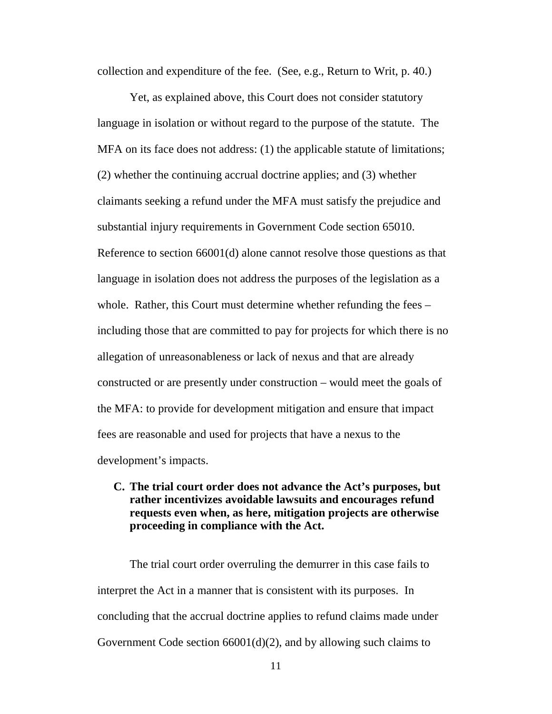collection and expenditure of the fee. (See, e.g., Return to Writ, p. 40.)

Yet, as explained above, this Court does not consider statutory language in isolation or without regard to the purpose of the statute. The MFA on its face does not address: (1) the applicable statute of limitations; (2) whether the continuing accrual doctrine applies; and (3) whether claimants seeking a refund under the MFA must satisfy the prejudice and substantial injury requirements in Government Code section 65010. Reference to section 66001(d) alone cannot resolve those questions as that language in isolation does not address the purposes of the legislation as a whole. Rather, this Court must determine whether refunding the fees – including those that are committed to pay for projects for which there is no allegation of unreasonableness or lack of nexus and that are already constructed or are presently under construction – would meet the goals of the MFA: to provide for development mitigation and ensure that impact fees are reasonable and used for projects that have a nexus to the development's impacts.

## **C. The trial court order does not advance the Act's purposes, but rather incentivizes avoidable lawsuits and encourages refund requests even when, as here, mitigation projects are otherwise proceeding in compliance with the Act.**

The trial court order overruling the demurrer in this case fails to interpret the Act in a manner that is consistent with its purposes. In concluding that the accrual doctrine applies to refund claims made under Government Code section 66001(d)(2), and by allowing such claims to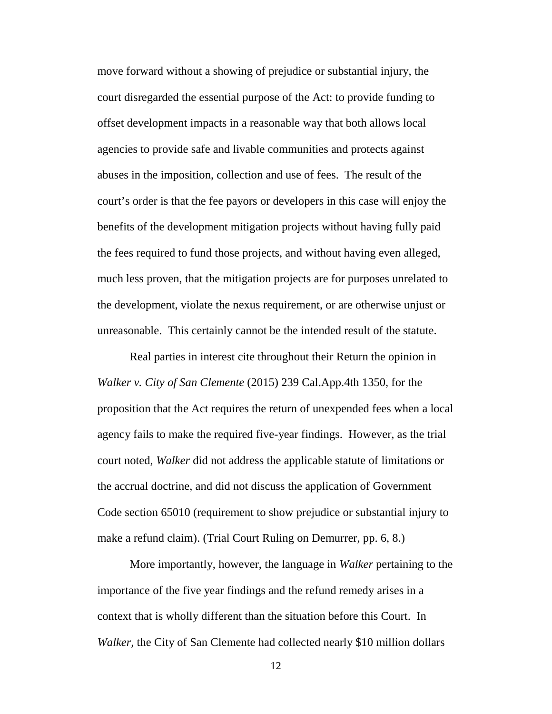move forward without a showing of prejudice or substantial injury, the court disregarded the essential purpose of the Act: to provide funding to offset development impacts in a reasonable way that both allows local agencies to provide safe and livable communities and protects against abuses in the imposition, collection and use of fees. The result of the court's order is that the fee payors or developers in this case will enjoy the benefits of the development mitigation projects without having fully paid the fees required to fund those projects, and without having even alleged, much less proven, that the mitigation projects are for purposes unrelated to the development, violate the nexus requirement, or are otherwise unjust or unreasonable. This certainly cannot be the intended result of the statute.

Real parties in interest cite throughout their Return the opinion in *Walker v. City of San Clemente* (2015) 239 Cal.App.4th 1350, for the proposition that the Act requires the return of unexpended fees when a local agency fails to make the required five-year findings. However, as the trial court noted, *Walker* did not address the applicable statute of limitations or the accrual doctrine, and did not discuss the application of Government Code section 65010 (requirement to show prejudice or substantial injury to make a refund claim). (Trial Court Ruling on Demurrer, pp. 6, 8.)

More importantly, however, the language in *Walker* pertaining to the importance of the five year findings and the refund remedy arises in a context that is wholly different than the situation before this Court. In *Walker,* the City of San Clemente had collected nearly \$10 million dollars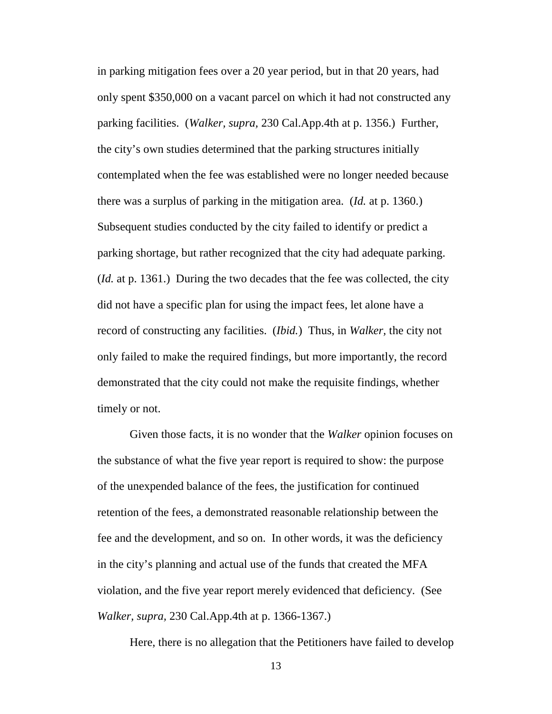in parking mitigation fees over a 20 year period, but in that 20 years, had only spent \$350,000 on a vacant parcel on which it had not constructed any parking facilities. (*Walker, supra,* 230 Cal.App.4th at p. 1356.) Further, the city's own studies determined that the parking structures initially contemplated when the fee was established were no longer needed because there was a surplus of parking in the mitigation area. (*Id.* at p. 1360.) Subsequent studies conducted by the city failed to identify or predict a parking shortage, but rather recognized that the city had adequate parking. (*Id.* at p. 1361.) During the two decades that the fee was collected, the city did not have a specific plan for using the impact fees, let alone have a record of constructing any facilities. (*Ibid.*) Thus, in *Walker,* the city not only failed to make the required findings, but more importantly, the record demonstrated that the city could not make the requisite findings, whether timely or not.

Given those facts, it is no wonder that the *Walker* opinion focuses on the substance of what the five year report is required to show: the purpose of the unexpended balance of the fees, the justification for continued retention of the fees, a demonstrated reasonable relationship between the fee and the development, and so on. In other words, it was the deficiency in the city's planning and actual use of the funds that created the MFA violation, and the five year report merely evidenced that deficiency. (See *Walker, supra,* 230 Cal.App.4th at p. 1366-1367.)

Here, there is no allegation that the Petitioners have failed to develop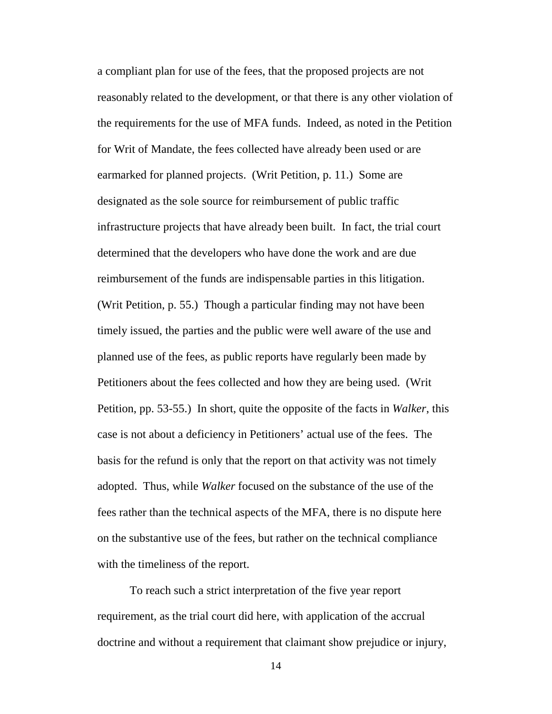a compliant plan for use of the fees, that the proposed projects are not reasonably related to the development, or that there is any other violation of the requirements for the use of MFA funds. Indeed, as noted in the Petition for Writ of Mandate, the fees collected have already been used or are earmarked for planned projects. (Writ Petition, p. 11.) Some are designated as the sole source for reimbursement of public traffic infrastructure projects that have already been built. In fact, the trial court determined that the developers who have done the work and are due reimbursement of the funds are indispensable parties in this litigation. (Writ Petition, p. 55.) Though a particular finding may not have been timely issued, the parties and the public were well aware of the use and planned use of the fees, as public reports have regularly been made by Petitioners about the fees collected and how they are being used. (Writ Petition, pp. 53-55.) In short, quite the opposite of the facts in *Walker*, this case is not about a deficiency in Petitioners' actual use of the fees. The basis for the refund is only that the report on that activity was not timely adopted. Thus, while *Walker* focused on the substance of the use of the fees rather than the technical aspects of the MFA, there is no dispute here on the substantive use of the fees, but rather on the technical compliance with the timeliness of the report.

To reach such a strict interpretation of the five year report requirement, as the trial court did here, with application of the accrual doctrine and without a requirement that claimant show prejudice or injury,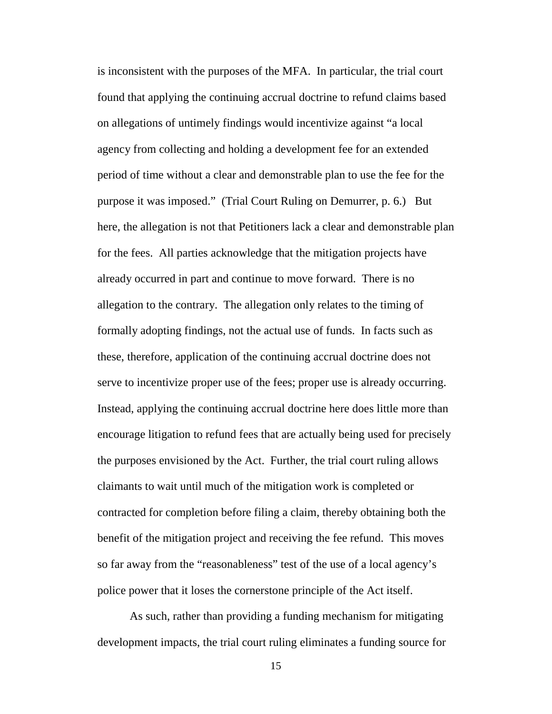is inconsistent with the purposes of the MFA. In particular, the trial court found that applying the continuing accrual doctrine to refund claims based on allegations of untimely findings would incentivize against "a local agency from collecting and holding a development fee for an extended period of time without a clear and demonstrable plan to use the fee for the purpose it was imposed." (Trial Court Ruling on Demurrer, p. 6.) But here, the allegation is not that Petitioners lack a clear and demonstrable plan for the fees. All parties acknowledge that the mitigation projects have already occurred in part and continue to move forward. There is no allegation to the contrary. The allegation only relates to the timing of formally adopting findings, not the actual use of funds. In facts such as these, therefore, application of the continuing accrual doctrine does not serve to incentivize proper use of the fees; proper use is already occurring. Instead, applying the continuing accrual doctrine here does little more than encourage litigation to refund fees that are actually being used for precisely the purposes envisioned by the Act. Further, the trial court ruling allows claimants to wait until much of the mitigation work is completed or contracted for completion before filing a claim, thereby obtaining both the benefit of the mitigation project and receiving the fee refund. This moves so far away from the "reasonableness" test of the use of a local agency's police power that it loses the cornerstone principle of the Act itself.

As such, rather than providing a funding mechanism for mitigating development impacts, the trial court ruling eliminates a funding source for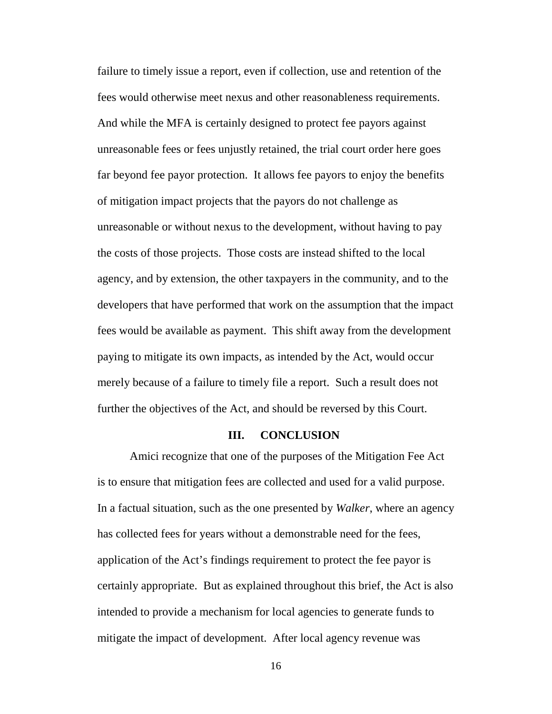failure to timely issue a report, even if collection, use and retention of the fees would otherwise meet nexus and other reasonableness requirements. And while the MFA is certainly designed to protect fee payors against unreasonable fees or fees unjustly retained, the trial court order here goes far beyond fee payor protection. It allows fee payors to enjoy the benefits of mitigation impact projects that the payors do not challenge as unreasonable or without nexus to the development, without having to pay the costs of those projects. Those costs are instead shifted to the local agency, and by extension, the other taxpayers in the community, and to the developers that have performed that work on the assumption that the impact fees would be available as payment. This shift away from the development paying to mitigate its own impacts, as intended by the Act, would occur merely because of a failure to timely file a report. Such a result does not further the objectives of the Act, and should be reversed by this Court.

#### **III. CONCLUSION**

Amici recognize that one of the purposes of the Mitigation Fee Act is to ensure that mitigation fees are collected and used for a valid purpose. In a factual situation, such as the one presented by *Walker*, where an agency has collected fees for years without a demonstrable need for the fees, application of the Act's findings requirement to protect the fee payor is certainly appropriate. But as explained throughout this brief, the Act is also intended to provide a mechanism for local agencies to generate funds to mitigate the impact of development. After local agency revenue was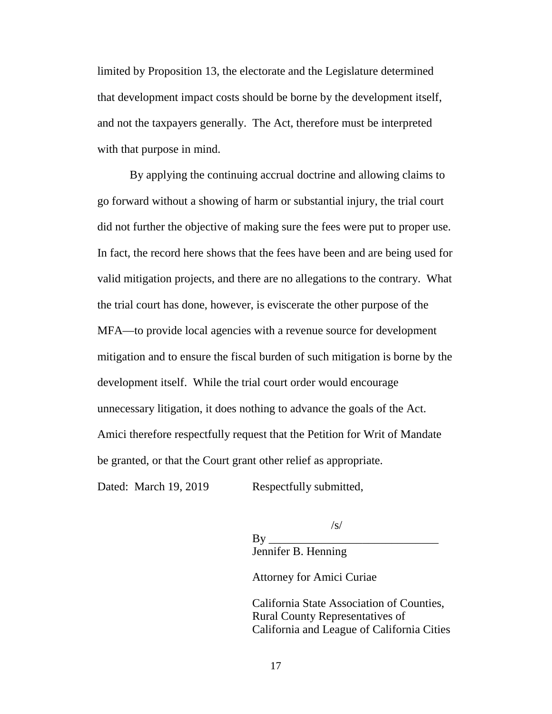limited by Proposition 13, the electorate and the Legislature determined that development impact costs should be borne by the development itself, and not the taxpayers generally. The Act, therefore must be interpreted with that purpose in mind.

By applying the continuing accrual doctrine and allowing claims to go forward without a showing of harm or substantial injury, the trial court did not further the objective of making sure the fees were put to proper use. In fact, the record here shows that the fees have been and are being used for valid mitigation projects, and there are no allegations to the contrary. What the trial court has done, however, is eviscerate the other purpose of the MFA—to provide local agencies with a revenue source for development mitigation and to ensure the fiscal burden of such mitigation is borne by the development itself. While the trial court order would encourage unnecessary litigation, it does nothing to advance the goals of the Act. Amici therefore respectfully request that the Petition for Writ of Mandate be granted, or that the Court grant other relief as appropriate.

Dated: March 19, 2019 Respectfully submitted,

By \_\_\_\_\_\_\_\_\_\_\_\_\_\_\_\_\_\_\_\_\_\_\_\_\_\_\_\_\_ Jennifer B. Henning

Attorney for Amici Curiae

California State Association of Counties, Rural County Representatives of California and League of California Cities

 $\sqrt{s}$